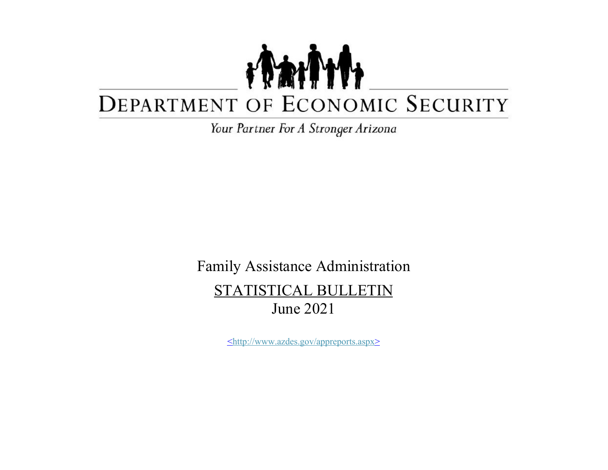## TANT DEPARTMENT OF ECONOMIC SECURITY

Your Partner For A Stronger Arizona

Family Assistance Administration STATISTICAL BULLETIN June 2021

<http://www.azdes.gov/appreports.aspx>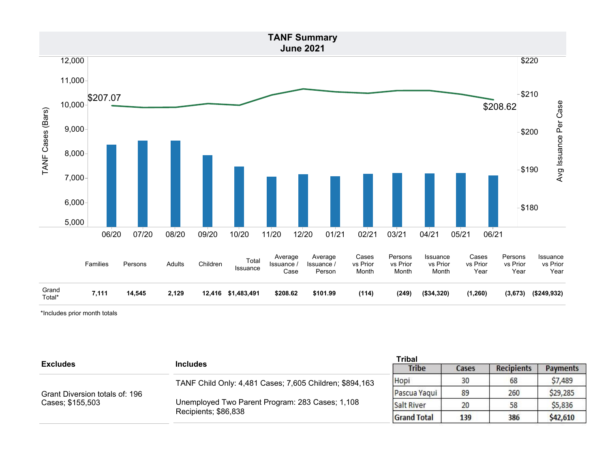

\*Includes prior month totals

| <b>Excludes</b>                | <b>Includes</b>                                                         | <b>Tribal</b>      |       |                   |                 |
|--------------------------------|-------------------------------------------------------------------------|--------------------|-------|-------------------|-----------------|
|                                |                                                                         | <b>Tribe</b>       | Cases | <b>Recipients</b> | <b>Payments</b> |
|                                | TANF Child Only: 4,481 Cases; 7,605 Children; \$894,163                 | Hopi               | 30    | 68                | \$7,489         |
| Grant Diversion totals of: 196 | Unemployed Two Parent Program: 283 Cases; 1,108<br>Recipients; \$86,838 | Pascua Yaqui       | 89    | 260               | \$29,285        |
| Cases; \$155,503               |                                                                         | <b>Salt River</b>  | 20    | 58                | \$5,836         |
|                                |                                                                         | <b>Grand Total</b> | 139   | 386               | \$42,610        |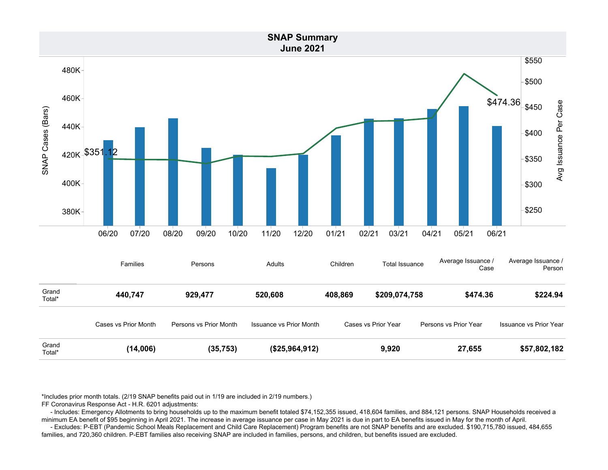

\*Includes prior month totals. (2/19 SNAP benefits paid out in 1/19 are included in 2/19 numbers.)

FF Coronavirus Response Act - H.R. 6201 adjustments:

 - Includes: Emergency Allotments to bring households up to the maximum benefit totaled \$74,152,355 issued, 418,604 families, and 884,121 persons. SNAP Households received a minimum EA benefit of \$95 beginning in April 2021. The increase in average issuance per case in May 2021 is due in part to EA benefits issued in May for the month of April.

 - Excludes: P-EBT (Pandemic School Meals Replacement and Child Care Replacement) Program benefits are not SNAP benefits and are excluded. \$190,715,780 issued, 484,655 families, and 720,360 children. P-EBT families also receiving SNAP are included in families, persons, and children, but benefits issued are excluded.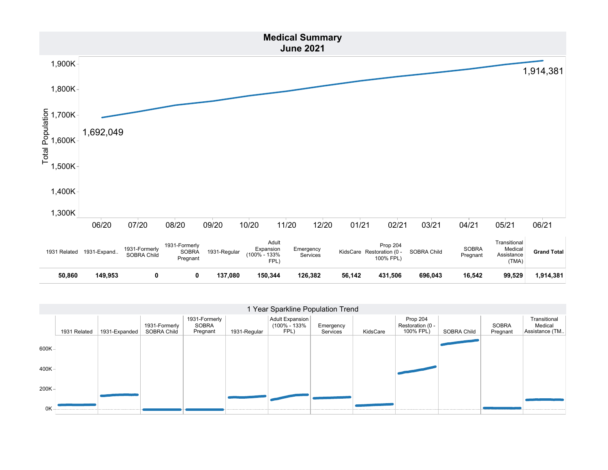

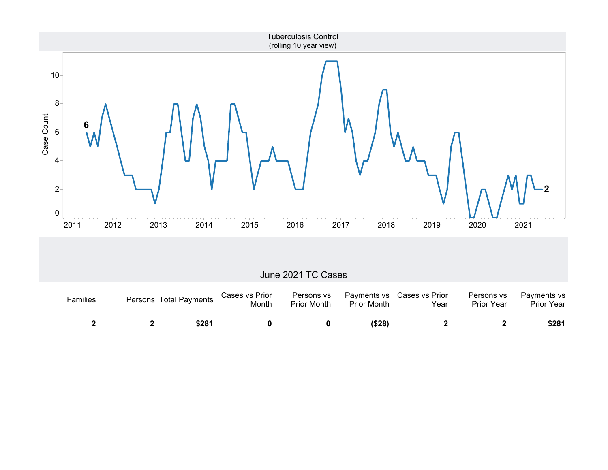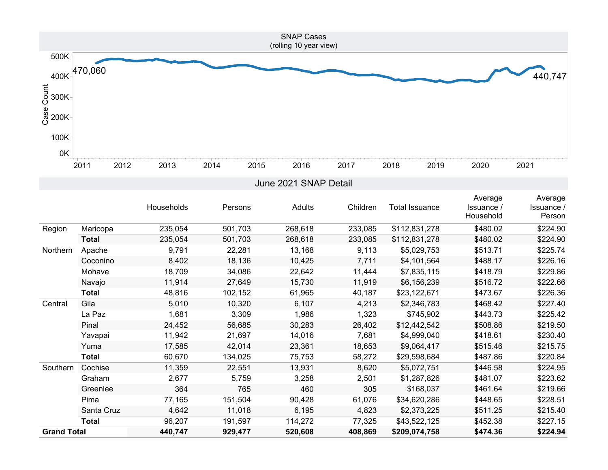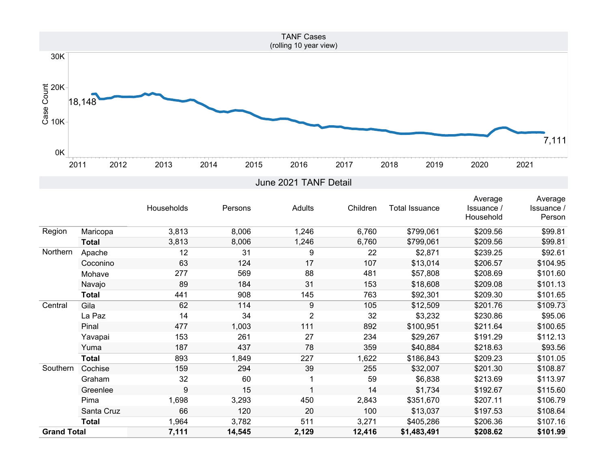

|                    |              |            |         |                |          |                       | Average    | Average    |
|--------------------|--------------|------------|---------|----------------|----------|-----------------------|------------|------------|
|                    |              | Households | Persons | Adults         | Children | <b>Total Issuance</b> | Issuance / | Issuance / |
|                    |              |            |         |                |          |                       | Household  | Person     |
| Region             | Maricopa     | 3,813      | 8,006   | 1,246          | 6,760    | \$799,061             | \$209.56   | \$99.81    |
|                    | <b>Total</b> | 3,813      | 8,006   | 1,246          | 6,760    | \$799,061             | \$209.56   | \$99.81    |
| Northern           | Apache       | 12         | 31      | 9              | 22       | \$2,871               | \$239.25   | \$92.61    |
|                    | Coconino     | 63         | 124     | 17             | 107      | \$13,014              | \$206.57   | \$104.95   |
|                    | Mohave       | 277        | 569     | 88             | 481      | \$57,808              | \$208.69   | \$101.60   |
|                    | Navajo       | 89         | 184     | 31             | 153      | \$18,608              | \$209.08   | \$101.13   |
|                    | <b>Total</b> | 441        | 908     | 145            | 763      | \$92,301              | \$209.30   | \$101.65   |
| Central            | Gila         | 62         | 114     | 9              | 105      | \$12,509              | \$201.76   | \$109.73   |
|                    | La Paz       | 14         | 34      | $\overline{2}$ | 32       | \$3,232               | \$230.86   | \$95.06    |
|                    | Pinal        | 477        | 1,003   | 111            | 892      | \$100,951             | \$211.64   | \$100.65   |
|                    | Yavapai      | 153        | 261     | 27             | 234      | \$29,267              | \$191.29   | \$112.13   |
|                    | Yuma         | 187        | 437     | 78             | 359      | \$40,884              | \$218.63   | \$93.56    |
|                    | <b>Total</b> | 893        | 1,849   | 227            | 1,622    | \$186,843             | \$209.23   | \$101.05   |
| Southern           | Cochise      | 159        | 294     | 39             | 255      | \$32,007              | \$201.30   | \$108.87   |
|                    | Graham       | 32         | 60      |                | 59       | \$6,838               | \$213.69   | \$113.97   |
|                    | Greenlee     | 9          | 15      |                | 14       | \$1,734               | \$192.67   | \$115.60   |
|                    | Pima         | 1,698      | 3,293   | 450            | 2,843    | \$351,670             | \$207.11   | \$106.79   |
|                    | Santa Cruz   | 66         | 120     | 20             | 100      | \$13,037              | \$197.53   | \$108.64   |
|                    | <b>Total</b> | 1,964      | 3,782   | 511            | 3,271    | \$405,286             | \$206.36   | \$107.16   |
| <b>Grand Total</b> |              | 7,111      | 14,545  | 2,129          | 12,416   | \$1,483,491           | \$208.62   | \$101.99   |